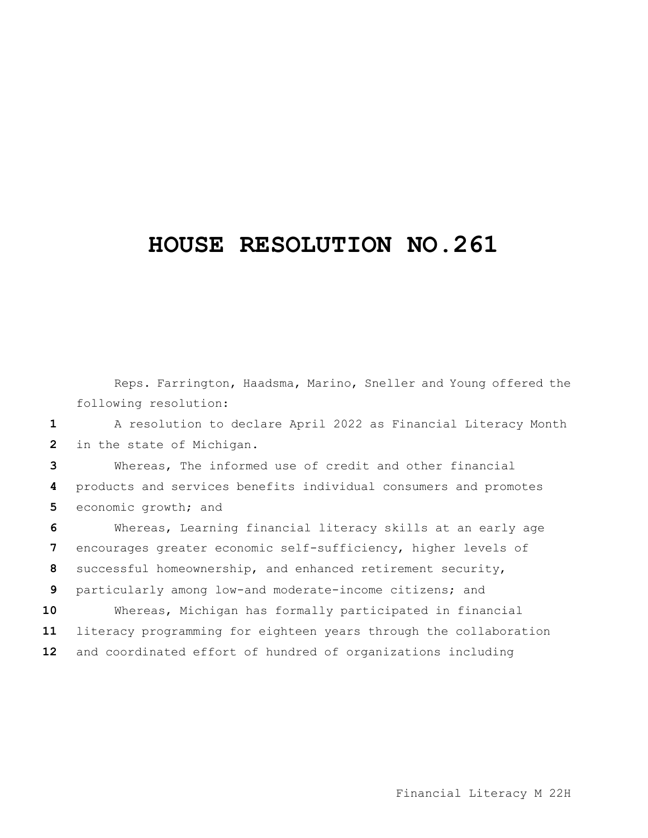## **HOUSE RESOLUTION NO.261**

Reps. Farrington, Haadsma, Marino, Sneller and Young offered the following resolution:

 A resolution to declare April 2022 as Financial Literacy Month in the state of Michigan.

 Whereas, The informed use of credit and other financial products and services benefits individual consumers and promotes 5 economic growth; and

 Whereas, Learning financial literacy skills at an early age encourages greater economic self-sufficiency, higher levels of successful homeownership, and enhanced retirement security, particularly among low-and moderate-income citizens; and Whereas, Michigan has formally participated in financial literacy programming for eighteen years through the collaboration and coordinated effort of hundred of organizations including

Financial Literacy M 22H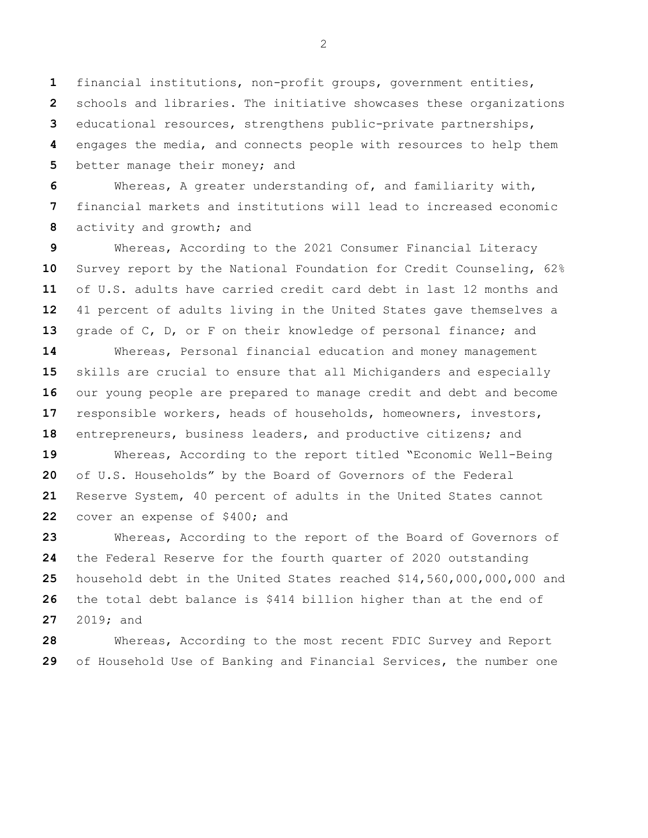financial institutions, non-profit groups, government entities, schools and libraries. The initiative showcases these organizations educational resources, strengthens public-private partnerships, engages the media, and connects people with resources to help them better manage their money; and

 Whereas, A greater understanding of, and familiarity with, financial markets and institutions will lead to increased economic activity and growth; and

 Whereas, According to the 2021 Consumer Financial Literacy Survey report by the National Foundation for Credit Counseling, 62% of U.S. adults have carried credit card debt in last 12 months and 41 percent of adults living in the United States gave themselves a grade of C, D, or F on their knowledge of personal finance; and Whereas, Personal financial education and money management skills are crucial to ensure that all Michiganders and especially our young people are prepared to manage credit and debt and become

 responsible workers, heads of households, homeowners, investors, entrepreneurs, business leaders, and productive citizens; and Whereas, According to the report titled "Economic Well-Being

 of U.S. Households" by the Board of Governors of the Federal Reserve System, 40 percent of adults in the United States cannot cover an expense of \$400; and

 Whereas, According to the report of the Board of Governors of the Federal Reserve for the fourth quarter of 2020 outstanding household debt in the United States reached \$14,560,000,000,000 and the total debt balance is \$414 billion higher than at the end of 2019; and

 Whereas, According to the most recent FDIC Survey and Report of Household Use of Banking and Financial Services, the number one